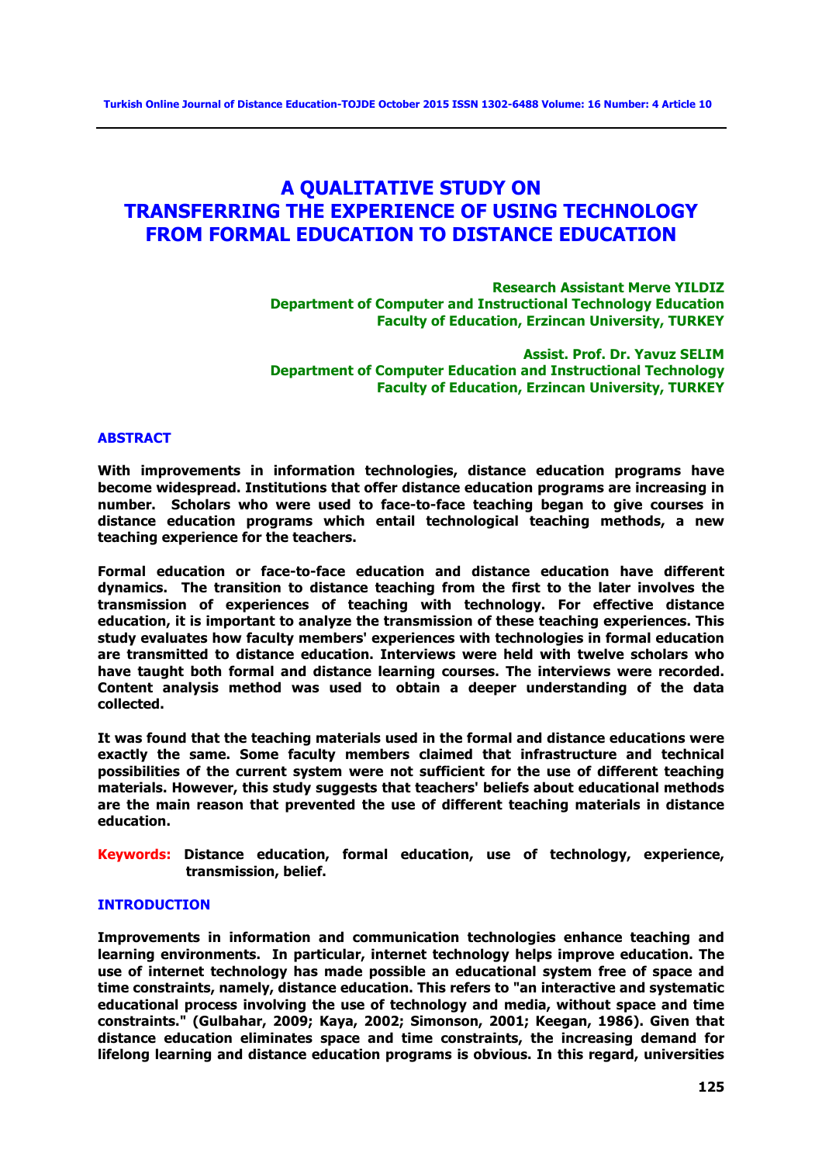## **A QUALITATIVE STUDY ON TRANSFERRING THE EXPERIENCE OF USING TECHNOLOGY FROM FORMAL EDUCATION TO DISTANCE EDUCATION**

**Research Assistant Merve YILDIZ Department of Computer and Instructional Technology Education Faculty of Education, Erzincan University, TURKEY**

**Assist. Prof. Dr. Yavuz SELIM Department of Computer Education and Instructional Technology Faculty of Education, Erzincan University, TURKEY**

#### **ABSTRACT**

**With improvements in information technologies, distance education programs have become widespread. Institutions that offer distance education programs are increasing in number. Scholars who were used to face-to-face teaching began to give courses in distance education programs which entail technological teaching methods, a new teaching experience for the teachers.** 

**Formal education or face-to-face education and distance education have different dynamics. The transition to distance teaching from the first to the later involves the transmission of experiences of teaching with technology. For effective distance education, it is important to analyze the transmission of these teaching experiences. This study evaluates how faculty members' experiences with technologies in formal education are transmitted to distance education. Interviews were held with twelve scholars who have taught both formal and distance learning courses. The interviews were recorded. Content analysis method was used to obtain a deeper understanding of the data collected.**

**It was found that the teaching materials used in the formal and distance educations were exactly the same. Some faculty members claimed that infrastructure and technical possibilities of the current system were not sufficient for the use of different teaching materials. However, this study suggests that teachers' beliefs about educational methods are the main reason that prevented the use of different teaching materials in distance education.** 

**Keywords: Distance education, formal education, use of technology, experience, transmission, belief.**

## **INTRODUCTION**

**Improvements in information and communication technologies enhance teaching and learning environments. In particular, internet technology helps improve education. The use of internet technology has made possible an educational system free of space and time constraints, namely, distance education. This refers to "an interactive and systematic educational process involving the use of technology and media, without space and time constraints." (Gulbahar, 2009; Kaya, 2002; Simonson, 2001; Keegan, 1986). Given that distance education eliminates space and time constraints, the increasing demand for lifelong learning and distance education programs is obvious. In this regard, universities**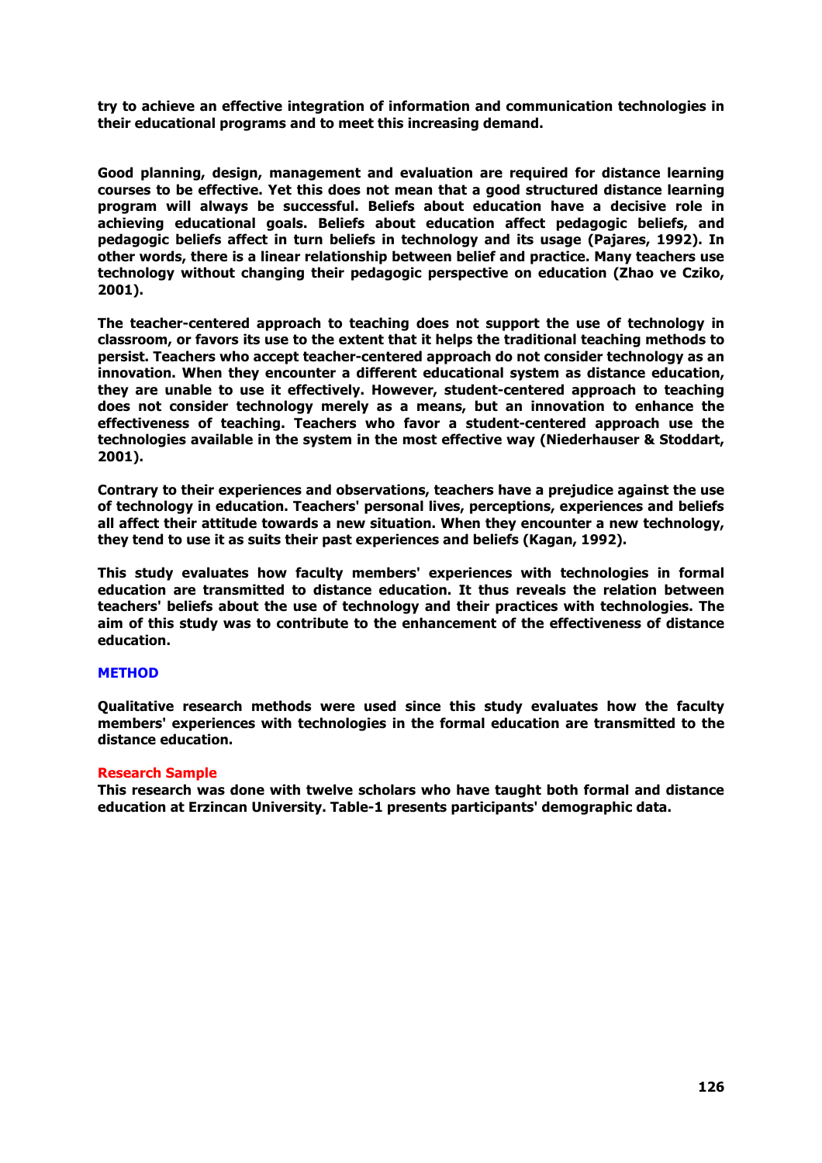**try to achieve an effective integration of information and communication technologies in their educational programs and to meet this increasing demand.**

**Good planning, design, management and evaluation are required for distance learning courses to be effective. Yet this does not mean that a good structured distance learning program will always be successful. Beliefs about education have a decisive role in achieving educational goals. Beliefs about education affect pedagogic beliefs, and pedagogic beliefs affect in turn beliefs in technology and its usage (Pajares, 1992). In other words, there is a linear relationship between belief and practice. Many teachers use technology without changing their pedagogic perspective on education (Zhao ve Cziko, 2001).** 

**The teacher-centered approach to teaching does not support the use of technology in classroom, or favors its use to the extent that it helps the traditional teaching methods to persist. Teachers who accept teacher-centered approach do not consider technology as an innovation. When they encounter a different educational system as distance education, they are unable to use it effectively. However, student-centered approach to teaching does not consider technology merely as a means, but an innovation to enhance the effectiveness of teaching. Teachers who favor a student-centered approach use the technologies available in the system in the most effective way (Niederhauser & Stoddart, 2001).** 

**Contrary to their experiences and observations, teachers have a prejudice against the use of technology in education. Teachers' personal lives, perceptions, experiences and beliefs all affect their attitude towards a new situation. When they encounter a new technology, they tend to use it as suits their past experiences and beliefs (Kagan, 1992).**

**This study evaluates how faculty members' experiences with technologies in formal education are transmitted to distance education. It thus reveals the relation between teachers' beliefs about the use of technology and their practices with technologies. The aim of this study was to contribute to the enhancement of the effectiveness of distance education.**

## **METHOD**

**Qualitative research methods were used since this study evaluates how the faculty members' experiences with technologies in the formal education are transmitted to the distance education.**

#### **Research Sample**

**This research was done with twelve scholars who have taught both formal and distance education at Erzincan University. Table-1 presents participants' demographic data.**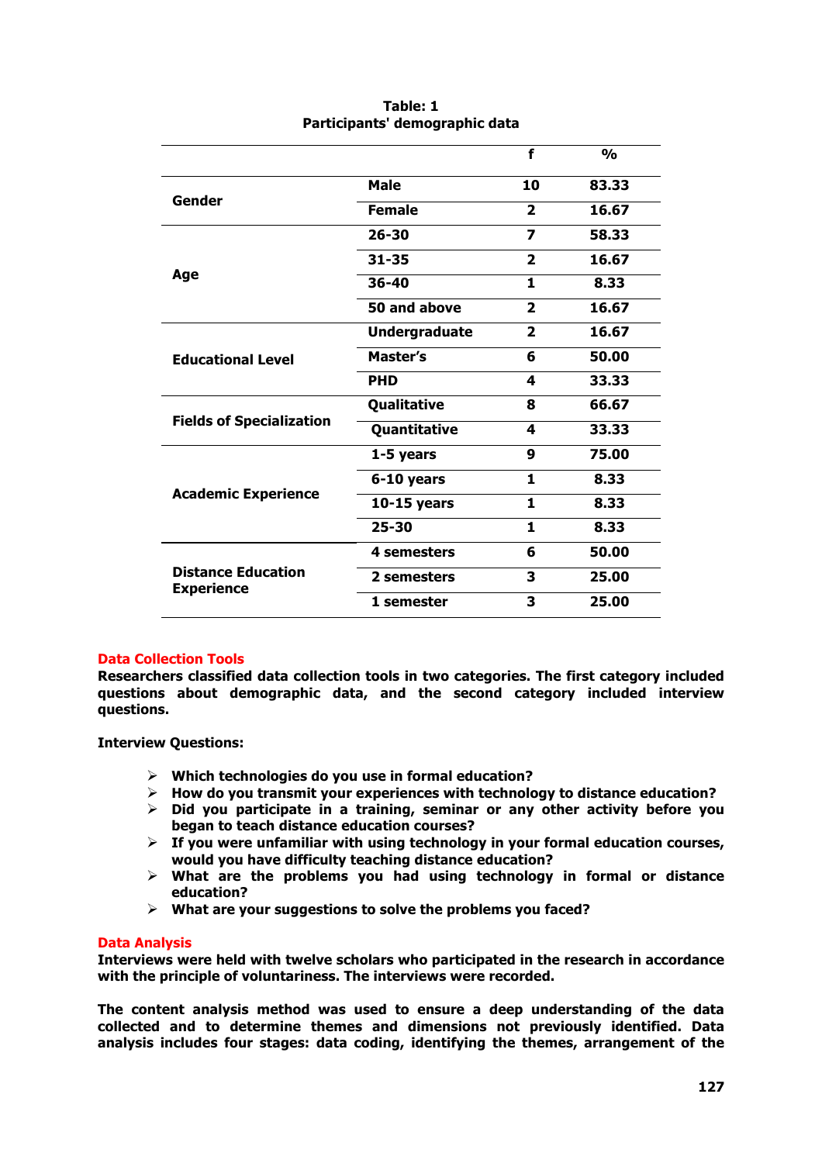|                                                |                      | f                       | O <sub>n</sub> |
|------------------------------------------------|----------------------|-------------------------|----------------|
| Gender                                         | Male                 | 10                      | 83.33          |
|                                                | <b>Female</b>        | $\mathbf{2}$            | 16.67          |
|                                                | $26 - 30$            | $\overline{\mathbf{z}}$ | 58.33          |
|                                                | $31 - 35$            | $\mathbf{2}$            | 16.67          |
| Age                                            | $36 - 40$            | 1                       | 8.33           |
|                                                | 50 and above         | $\mathbf{2}$            | 16.67          |
|                                                | <b>Undergraduate</b> | $\overline{2}$          | 16.67          |
| <b>Educational Level</b>                       | Master's             | 6                       | 50.00          |
|                                                | <b>PHD</b>           | 4                       | 33.33          |
| <b>Fields of Specialization</b>                | Qualitative          | 8                       | 66.67          |
|                                                | Quantitative         | 4                       | 33.33          |
|                                                | 1-5 years            | 9                       | 75.00          |
| <b>Academic Experience</b>                     | 6-10 years           | 1                       | 8.33           |
|                                                | $10-15$ years        | 1.                      | 8.33           |
|                                                | $25 - 30$            | 1                       | 8.33           |
| <b>Distance Education</b><br><b>Experience</b> | 4 semesters          | 6                       | 50.00          |
|                                                | 2 semesters          | 3                       | 25.00          |
|                                                | 1 semester           | 3                       | 25.00          |

## **Table: 1 Participants' demographic data**

## **Data Collection Tools**

**Researchers classified data collection tools in two categories. The first category included questions about demographic data, and the second category included interview questions.**

**Interview Questions:**

- Ø **Which technologies do you use in formal education?**
- Ø **How do you transmit your experiences with technology to distance education?**
- Ø **Did you participate in a training, seminar or any other activity before you began to teach distance education courses?**
- $\triangleright$  If you were unfamiliar with using technology in your formal education courses, **would you have difficulty teaching distance education?**
- Ø **What are the problems you had using technology in formal or distance education?**
- Ø **What are your suggestions to solve the problems you faced?**

## **Data Analysis**

**Interviews were held with twelve scholars who participated in the research in accordance with the principle of voluntariness. The interviews were recorded.** 

**The content analysis method was used to ensure a deep understanding of the data collected and to determine themes and dimensions not previously identified. Data analysis includes four stages: data coding, identifying the themes, arrangement of the**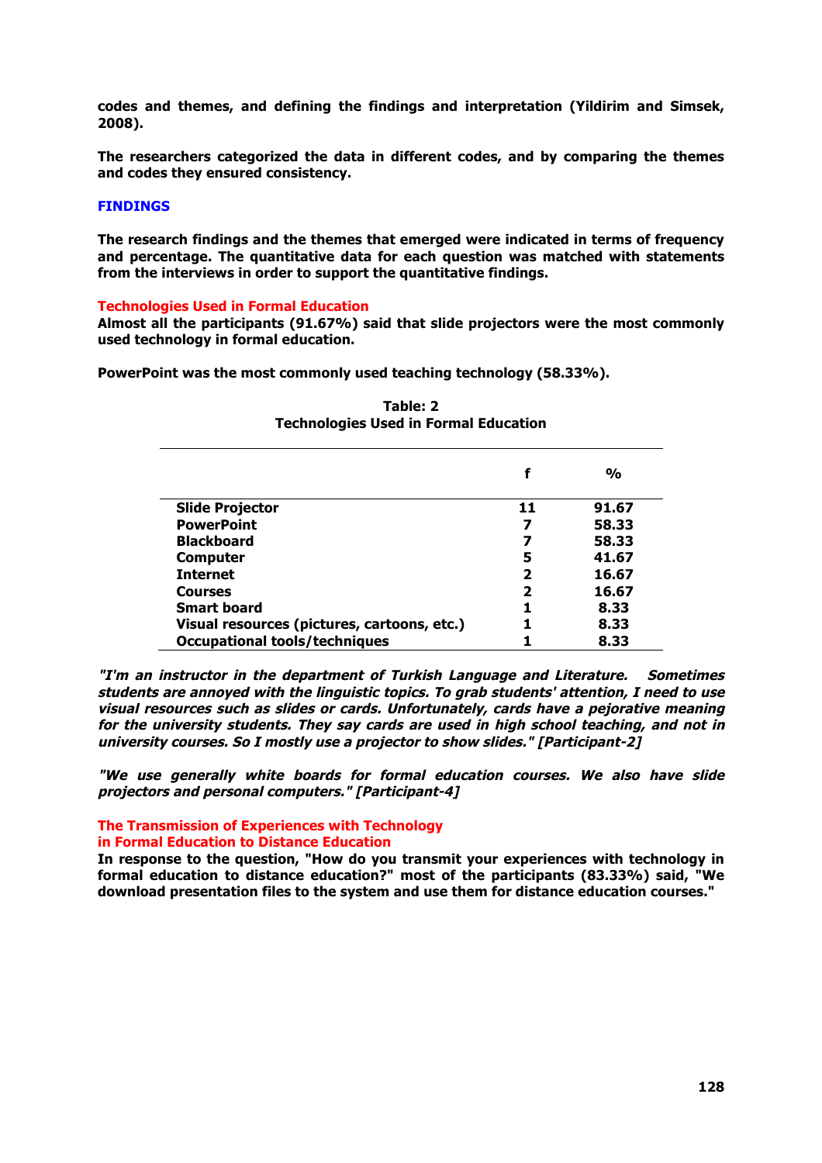**codes and themes, and defining the findings and interpretation (Yildirim and Simsek, 2008).** 

**The researchers categorized the data in different codes, and by comparing the themes and codes they ensured consistency.** 

#### **FINDINGS**

**The research findings and the themes that emerged were indicated in terms of frequency and percentage. The quantitative data for each question was matched with statements from the interviews in order to support the quantitative findings.**

#### **Technologies Used in Formal Education**

**Almost all the participants (91.67%) said that slide projectors were the most commonly used technology in formal education.** 

**PowerPoint was the most commonly used teaching technology (58.33%).**

|                                             |    | $\frac{0}{0}$ |
|---------------------------------------------|----|---------------|
| <b>Slide Projector</b>                      | 11 | 91.67         |
| <b>PowerPoint</b>                           |    | 58.33         |
| <b>Blackboard</b>                           |    | 58.33         |
| <b>Computer</b>                             | 5  | 41.67         |
| <b>Internet</b>                             | 7  | 16.67         |
| <b>Courses</b>                              | 2  | 16.67         |
| <b>Smart board</b>                          |    | 8.33          |
| Visual resources (pictures, cartoons, etc.) |    | 8.33          |
| <b>Occupational tools/techniques</b>        |    | 8.33          |

## **Table: 2 Technologies Used in Formal Education**

**"I'm an instructor in the department of Turkish Language and Literature. Sometimes students are annoyed with the linguistic topics. To grab students' attention, I need to use visual resources such as slides or cards. Unfortunately, cards have a pejorative meaning for the university students. They say cards are used in high school teaching, and not in university courses. So I mostly use a projector to show slides." [Participant-2]**

**"We use generally white boards for formal education courses. We also have slide projectors and personal computers." [Participant-4]**

# **The Transmission of Experiences with Technology**

**in Formal Education to Distance Education**

**In response to the question, "How do you transmit your experiences with technology in formal education to distance education?" most of the participants (83.33%) said, "We download presentation files to the system and use them for distance education courses."**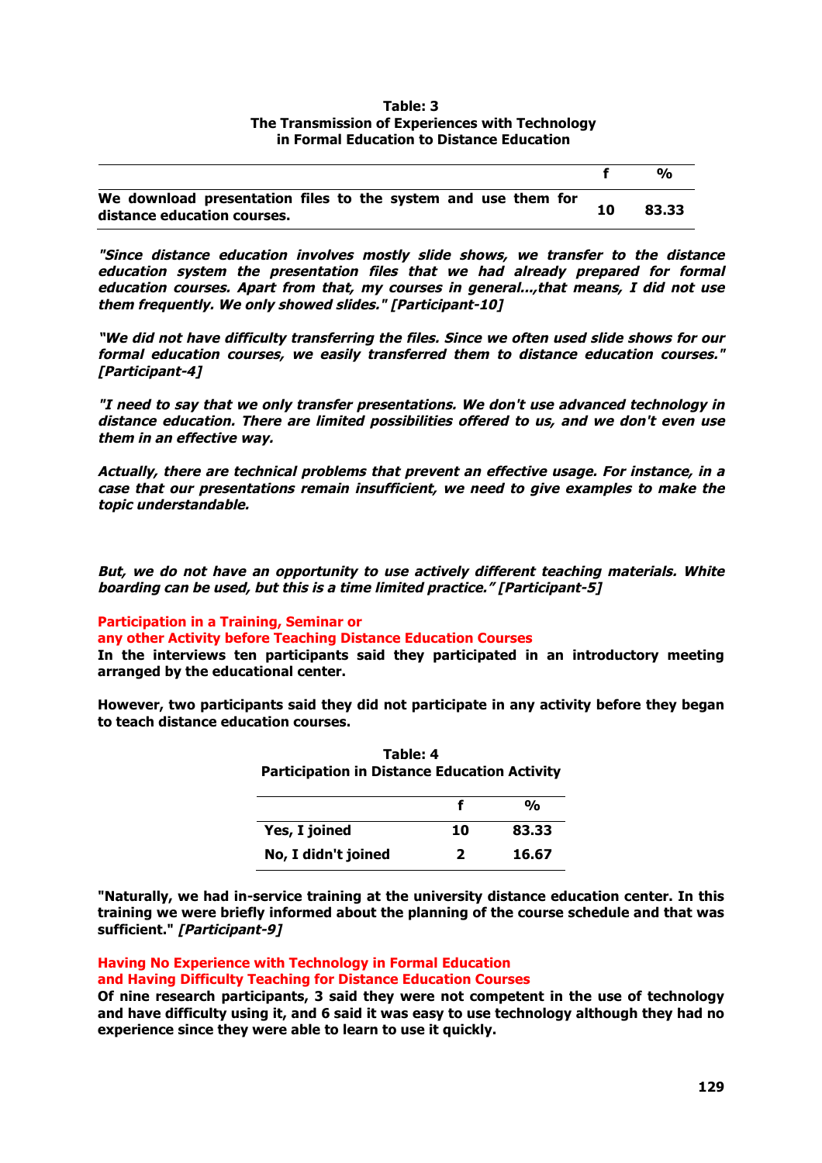#### **Table: 3 The Transmission of Experiences with Technology in Formal Education to Distance Education**

|                                                                                              | $O_{\alpha}$ |
|----------------------------------------------------------------------------------------------|--------------|
| We download presentation files to the system and use them for<br>distance education courses. | 83.33        |

**"Since distance education involves mostly slide shows, we transfer to the distance education system the presentation files that we had already prepared for formal education courses. Apart from that, my courses in general...,that means, I did not use them frequently. We only showed slides." [Participant-10]**

**"We did not have difficulty transferring the files. Since we often used slide shows for our formal education courses, we easily transferred them to distance education courses." [Participant-4]**

**"I need to say that we only transfer presentations. We don't use advanced technology in distance education. There are limited possibilities offered to us, and we don't even use them in an effective way.** 

**Actually, there are technical problems that prevent an effective usage. For instance, in a case that our presentations remain insufficient, we need to give examples to make the topic understandable.** 

**But, we do not have an opportunity to use actively different teaching materials. White boarding can be used, but this is a time limited practice." [Participant-5]**

## **Participation in a Training, Seminar or**

**any other Activity before Teaching Distance Education Courses** 

**In the interviews ten participants said they participated in an introductory meeting arranged by the educational center.** 

**However, two participants said they did not participate in any activity before they began to teach distance education courses.**

**Table: 4**

| <b>Participation in Distance Education Activity</b> |              |               |
|-----------------------------------------------------|--------------|---------------|
|                                                     |              | $\frac{0}{0}$ |
| Yes, I joined                                       | 10           | 83.33         |
| No, I didn't joined                                 | $\mathbf{z}$ | 16.67         |

**"Naturally, we had in-service training at the university distance education center. In this training we were briefly informed about the planning of the course schedule and that was sufficient." [Participant-9]**

**Having No Experience with Technology in Formal Education** 

**and Having Difficulty Teaching for Distance Education Courses**

**Of nine research participants, 3 said they were not competent in the use of technology and have difficulty using it, and 6 said it was easy to use technology although they had no experience since they were able to learn to use it quickly.**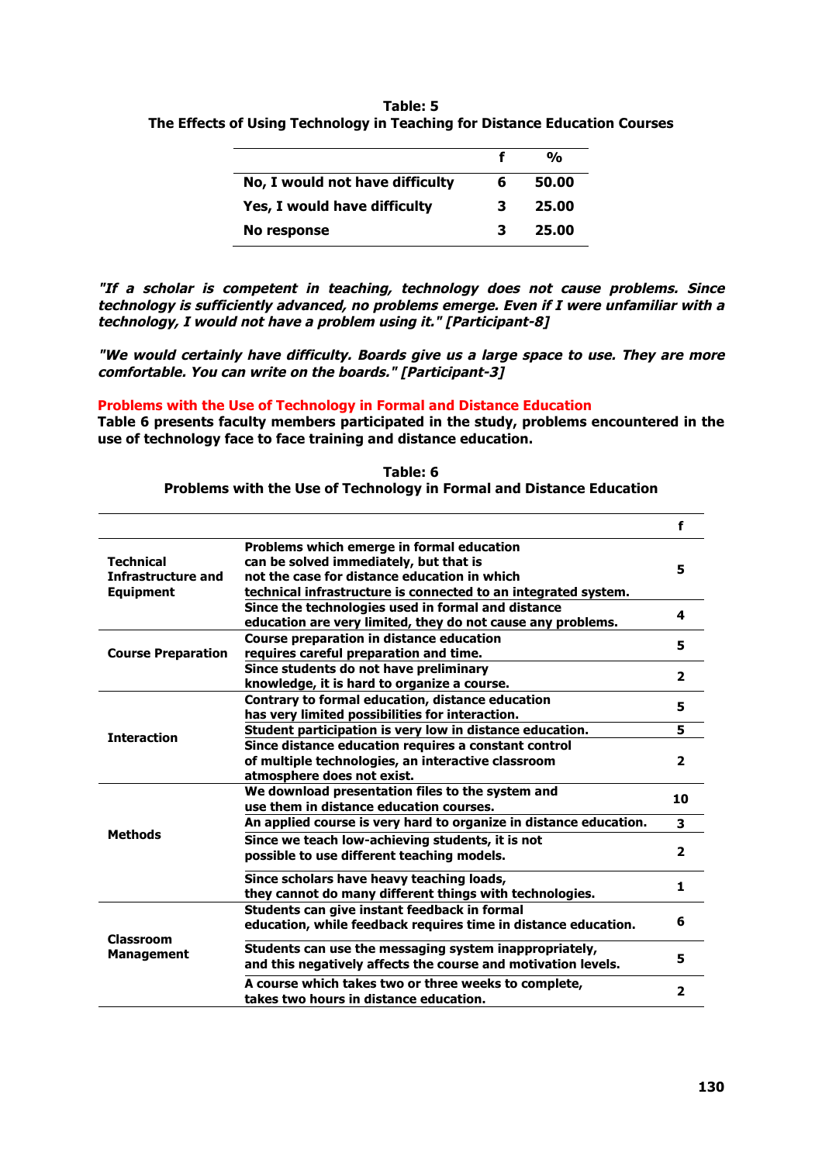**Table: 5 The Effects of Using Technology in Teaching for Distance Education Courses**

|                                 |   | %     |
|---------------------------------|---|-------|
| No, I would not have difficulty | 6 | 50.00 |
| Yes, I would have difficulty    | з | 25.00 |
| No response                     |   | 25.00 |

**"If a scholar is competent in teaching, technology does not cause problems. Since technology is sufficiently advanced, no problems emerge. Even if I were unfamiliar with a technology, I would not have a problem using it." [Participant-8]**

**"We would certainly have difficulty. Boards give us a large space to use. They are more comfortable. You can write on the boards." [Participant-3]**

## **Problems with the Use of Technology in Formal and Distance Education**

**Table 6 presents faculty members participated in the study, problems encountered in the use of technology face to face training and distance education.** 

|                                       |                                                                                                                | f                       |  |
|---------------------------------------|----------------------------------------------------------------------------------------------------------------|-------------------------|--|
|                                       | Problems which emerge in formal education                                                                      |                         |  |
| <b>Technical</b>                      | can be solved immediately, but that is                                                                         |                         |  |
| <b>Infrastructure and</b>             | not the case for distance education in which                                                                   | 5                       |  |
| <b>Equipment</b>                      | technical infrastructure is connected to an integrated system.                                                 |                         |  |
|                                       | Since the technologies used in formal and distance                                                             |                         |  |
|                                       | education are very limited, they do not cause any problems.                                                    | 4                       |  |
|                                       | Course preparation in distance education                                                                       | 5                       |  |
| <b>Course Preparation</b>             | requires careful preparation and time.                                                                         |                         |  |
|                                       | Since students do not have preliminary                                                                         |                         |  |
|                                       | knowledge, it is hard to organize a course.                                                                    | $\overline{\mathbf{2}}$ |  |
|                                       | Contrary to formal education, distance education                                                               | 5                       |  |
|                                       | has very limited possibilities for interaction.                                                                |                         |  |
| <b>Interaction</b>                    | Student participation is very low in distance education.                                                       | 5                       |  |
|                                       | Since distance education requires a constant control                                                           |                         |  |
|                                       | of multiple technologies, an interactive classroom                                                             | $\overline{2}$          |  |
|                                       | atmosphere does not exist.                                                                                     |                         |  |
|                                       | We download presentation files to the system and                                                               | 10                      |  |
|                                       | use them in distance education courses.                                                                        |                         |  |
|                                       | An applied course is very hard to organize in distance education.                                              | 3                       |  |
| <b>Methods</b>                        | Since we teach low-achieving students, it is not                                                               |                         |  |
|                                       | possible to use different teaching models.                                                                     | $\overline{\mathbf{2}}$ |  |
|                                       |                                                                                                                |                         |  |
|                                       | Since scholars have heavy teaching loads,                                                                      | 1                       |  |
| <b>Classroom</b><br><b>Management</b> | they cannot do many different things with technologies.                                                        |                         |  |
|                                       | Students can give instant feedback in formal<br>education, while feedback requires time in distance education. | 6                       |  |
|                                       |                                                                                                                |                         |  |
|                                       | Students can use the messaging system inappropriately,                                                         | 5                       |  |
|                                       | and this negatively affects the course and motivation levels.                                                  |                         |  |
|                                       | A course which takes two or three weeks to complete,                                                           |                         |  |
|                                       | takes two hours in distance education.                                                                         | $\overline{\mathbf{2}}$ |  |
|                                       |                                                                                                                |                         |  |

**Table: 6 Problems with the Use of Technology in Formal and Distance Education**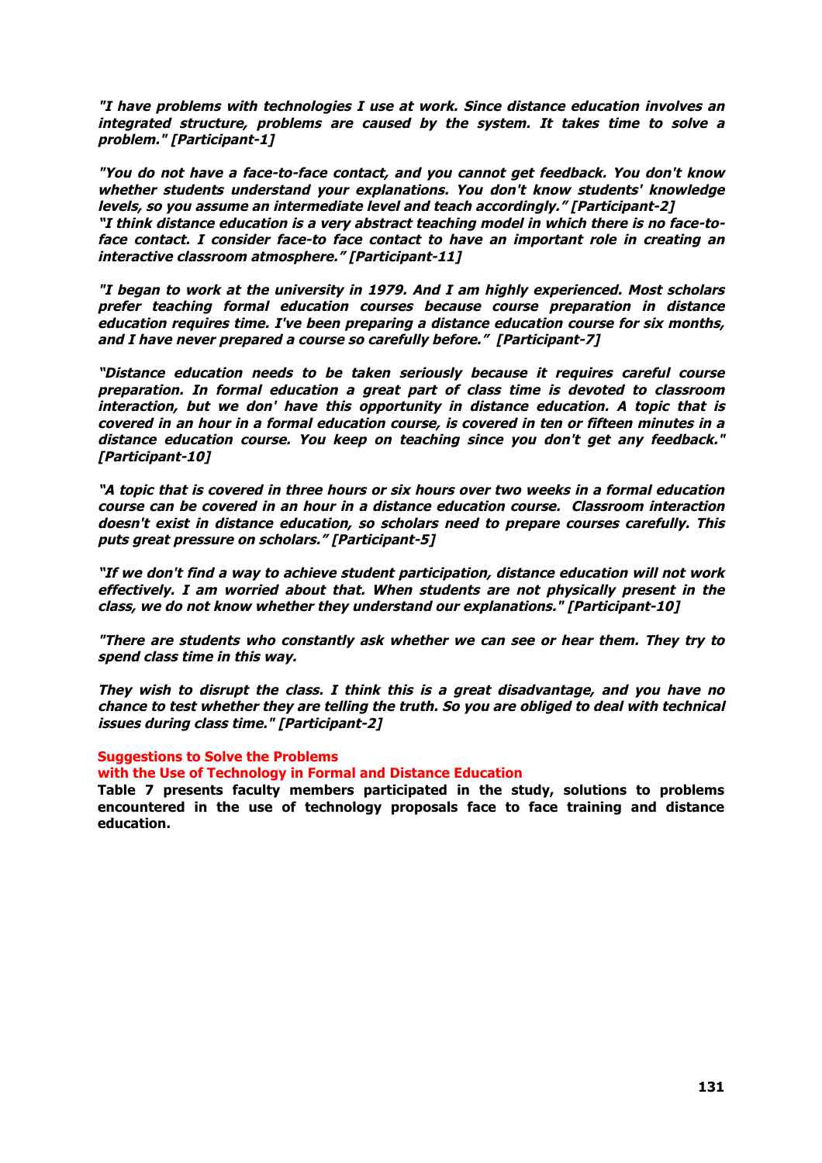**"I have problems with technologies I use at work. Since distance education involves an integrated structure, problems are caused by the system. It takes time to solve a problem." [Participant-1]**

**"You do not have a face-to-face contact, and you cannot get feedback. You don't know whether students understand your explanations. You don't know students' knowledge levels, so you assume an intermediate level and teach accordingly." [Participant-2] "I think distance education is a very abstract teaching model in which there is no face-toface contact. I consider face-to face contact to have an important role in creating an interactive classroom atmosphere." [Participant-11]**

**"I began to work at the university in 1979. And I am highly experienced. Most scholars prefer teaching formal education courses because course preparation in distance education requires time. I've been preparing a distance education course for six months, and I have never prepared a course so carefully before." [Participant-7]**

**"Distance education needs to be taken seriously because it requires careful course preparation. In formal education a great part of class time is devoted to classroom interaction, but we don' have this opportunity in distance education. A topic that is covered in an hour in a formal education course, is covered in ten or fifteen minutes in a distance education course. You keep on teaching since you don't get any feedback." [Participant-10]**

**"A topic that is covered in three hours or six hours over two weeks in a formal education course can be covered in an hour in a distance education course. Classroom interaction doesn't exist in distance education, so scholars need to prepare courses carefully. This puts great pressure on scholars." [Participant-5]**

**"If we don't find a way to achieve student participation, distance education will not work effectively. I am worried about that. When students are not physically present in the class, we do not know whether they understand our explanations." [Participant-10]**

**"There are students who constantly ask whether we can see or hear them. They try to spend class time in this way.** 

**They wish to disrupt the class. I think this is a great disadvantage, and you have no chance to test whether they are telling the truth. So you are obliged to deal with technical issues during class time." [Participant-2]**

#### **Suggestions to Solve the Problems**

#### **with the Use of Technology in Formal and Distance Education**

**Table 7 presents faculty members participated in the study, solutions to problems encountered in the use of technology proposals face to face training and distance education.**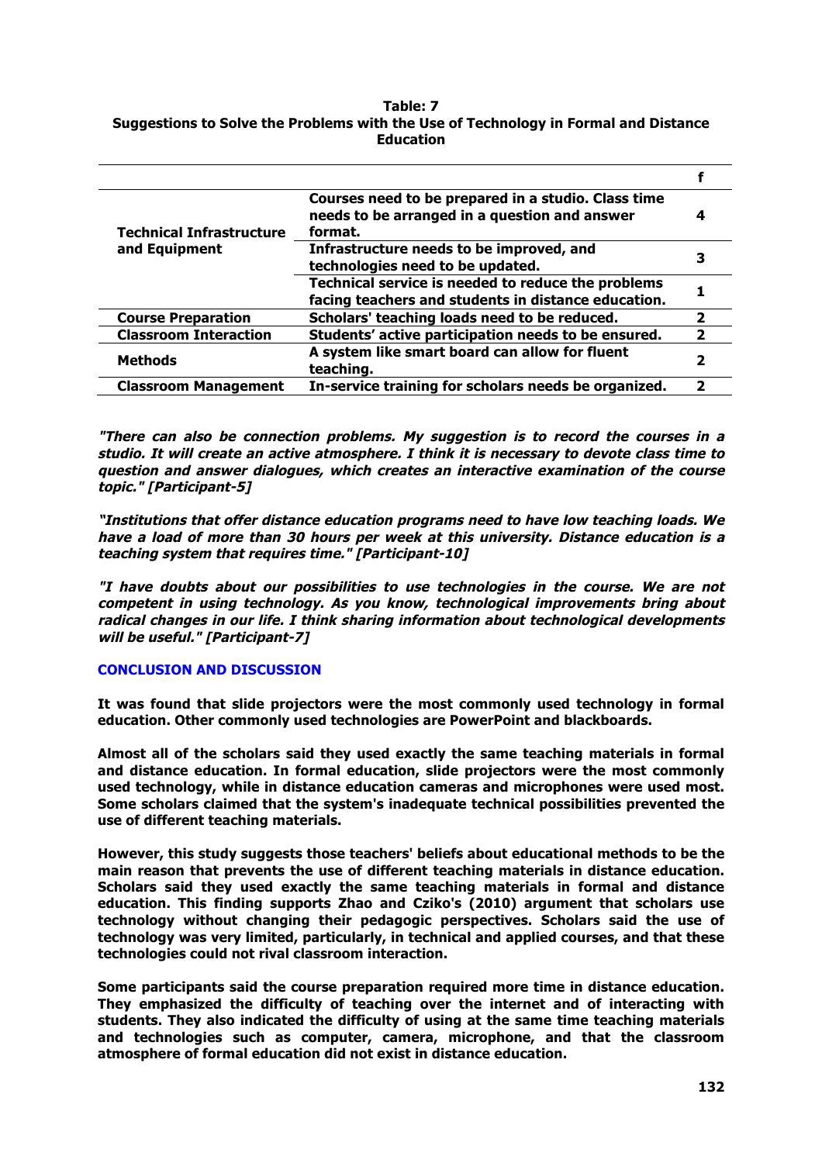### **Table: 7 Suggestions to Solve the Problems with the Use of Technology in Formal and Distance Education**

| <b>Technical Infrastructure</b><br>and Equipment | Courses need to be prepared in a studio. Class time<br>needs to be arranged in a question and answer<br>format. |    |
|--------------------------------------------------|-----------------------------------------------------------------------------------------------------------------|----|
|                                                  | Infrastructure needs to be improved, and<br>technologies need to be updated.                                    |    |
|                                                  | Technical service is needed to reduce the problems<br>facing teachers and students in distance education.       |    |
| <b>Course Preparation</b>                        | Scholars' teaching loads need to be reduced.                                                                    |    |
| <b>Classroom Interaction</b>                     | Students' active participation needs to be ensured.                                                             | ני |
| <b>Methods</b>                                   | A system like smart board can allow for fluent<br>teaching.                                                     |    |
| <b>Classroom Management</b>                      | In-service training for scholars needs be organized.                                                            |    |

**"There can also be connection problems. My suggestion is to record the courses in a studio. It will create an active atmosphere. I think it is necessary to devote class time to question and answer dialogues, which creates an interactive examination of the course topic." [Participant-5]**

**"Institutions that offer distance education programs need to have low teaching loads. We have a load of more than 30 hours per week at this university. Distance education is a teaching system that requires time." [Participant-10]**

**"I have doubts about our possibilities to use technologies in the course. We are not competent in using technology. As you know, technological improvements bring about radical changes in our life. I think sharing information about technological developments will be useful." [Participant-7]**

## **CONCLUSION AND DISCUSSION**

**It was found that slide projectors were the most commonly used technology in formal education. Other commonly used technologies are PowerPoint and blackboards.** 

**Almost all of the scholars said they used exactly the same teaching materials in formal and distance education. In formal education, slide projectors were the most commonly used technology, while in distance education cameras and microphones were used most. Some scholars claimed that the system's inadequate technical possibilities prevented the use of different teaching materials.** 

**However, this study suggests those teachers' beliefs about educational methods to be the main reason that prevents the use of different teaching materials in distance education. Scholars said they used exactly the same teaching materials in formal and distance education. This finding supports Zhao and Cziko's (2010) argument that scholars use technology without changing their pedagogic perspectives. Scholars said the use of technology was very limited, particularly, in technical and applied courses, and that these technologies could not rival classroom interaction.**

**Some participants said the course preparation required more time in distance education. They emphasized the difficulty of teaching over the internet and of interacting with students. They also indicated the difficulty of using at the same time teaching materials and technologies such as computer, camera, microphone, and that the classroom atmosphere of formal education did not exist in distance education.**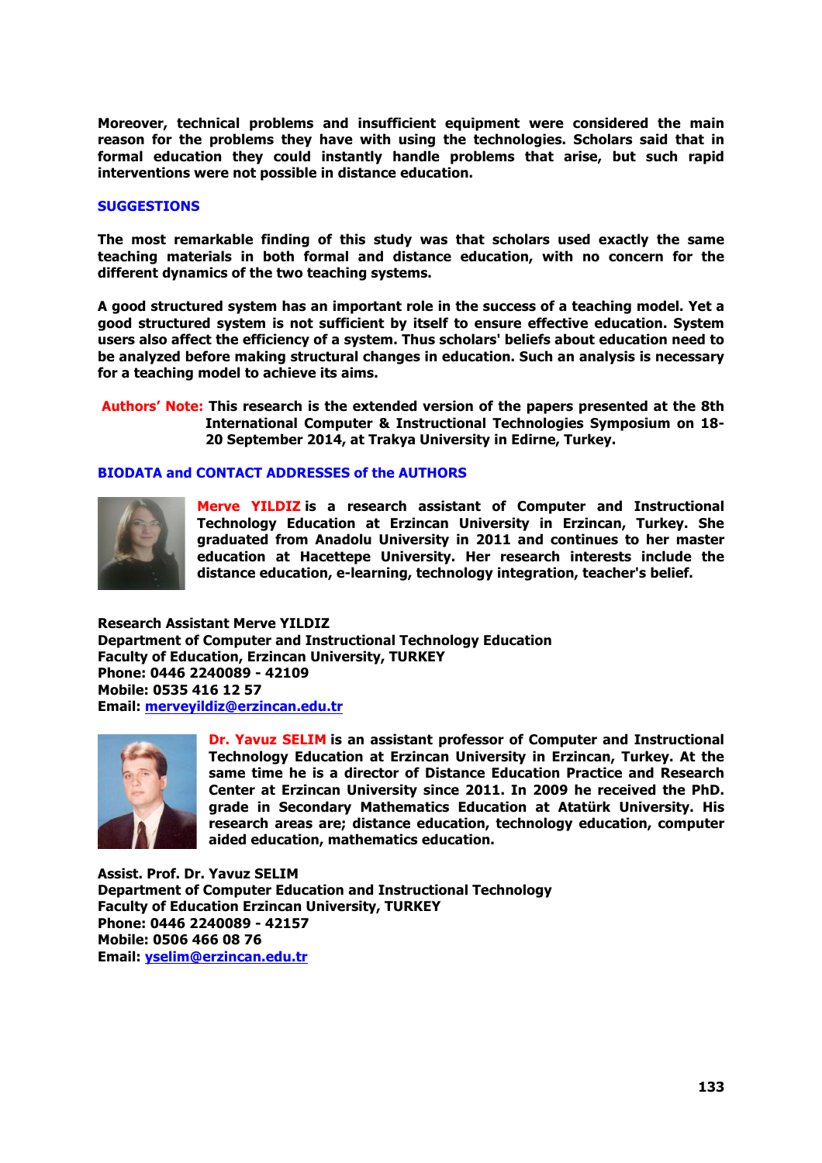**Moreover, technical problems and insufficient equipment were considered the main reason for the problems they have with using the technologies. Scholars said that in formal education they could instantly handle problems that arise, but such rapid interventions were not possible in distance education.**

#### **SUGGESTIONS**

**The most remarkable finding of this study was that scholars used exactly the same teaching materials in both formal and distance education, with no concern for the different dynamics of the two teaching systems.** 

**A good structured system has an important role in the success of a teaching model. Yet a good structured system is not sufficient by itself to ensure effective education. System users also affect the efficiency of a system. Thus scholars' beliefs about education need to be analyzed before making structural changes in education. Such an analysis is necessary for a teaching model to achieve its aims.** 

**Authors' Note: This research is the extended version of the papers presented at the 8th International Computer & Instructional Technologies Symposium on 18- 20 September 2014, at Trakya University in Edirne, Turkey.**

## **BIODATA and CONTACT ADDRESSES of the AUTHORS**



**Merve YILDIZ is a research assistant of Computer and Instructional Technology Education at Erzincan University in Erzincan, Turkey. She graduated from Anadolu University in 2011 and continues to her master education at Hacettepe University. Her research interests include the distance education, e-learning, technology integration, teacher's belief.**

**Research Assistant Merve YILDIZ Department of Computer and Instructional Technology Education Faculty of Education, Erzincan University, TURKEY Phone: 0446 2240089 - 42109 Mobile: 0535 416 12 57 Email: merveyildiz@erzincan.edu.tr**



**Dr. Yavuz SELIM is an assistant professor of Computer and Instructional Technology Education at Erzincan University in Erzincan, Turkey. At the same time he is a director of Distance Education Practice and Research Center at Erzincan University since 2011. In 2009 he received the PhD. grade in Secondary Mathematics Education at Atatürk University. His research areas are; distance education, technology education, computer aided education, mathematics education.**

**Assist. Prof. Dr. Yavuz SELIM Department of Computer Education and Instructional Technology Faculty of Education Erzincan University, TURKEY Phone: 0446 2240089 - 42157 Mobile: 0506 466 08 76 Email: yselim@erzincan.edu.tr**